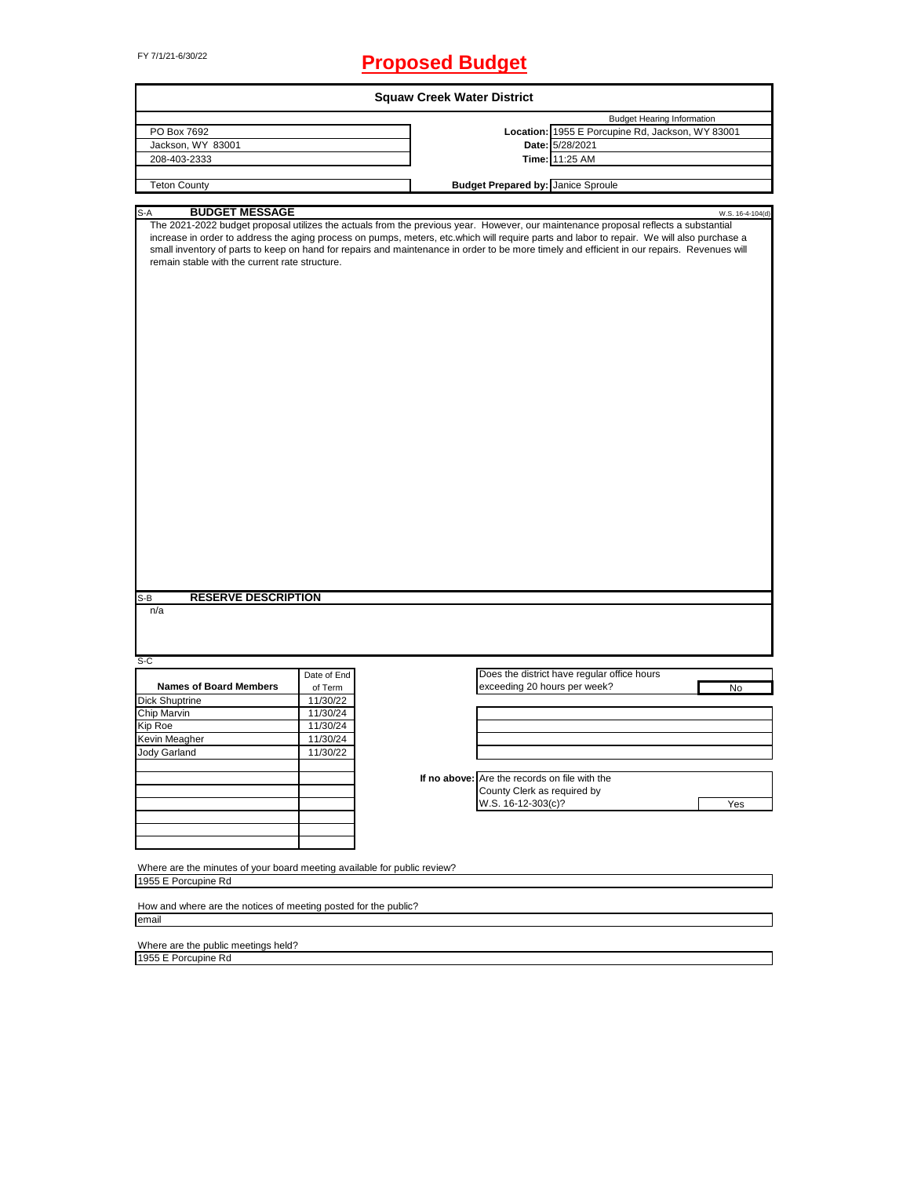# FY 7/1/21-6/30/22 **Proposed Budget**

|                                                                                                                                                                              | <b>Squaw Creek Water District</b> |                                                                                                                                                                                                                                                                                                                                                                                                                                  |  |  |  |  |
|------------------------------------------------------------------------------------------------------------------------------------------------------------------------------|-----------------------------------|----------------------------------------------------------------------------------------------------------------------------------------------------------------------------------------------------------------------------------------------------------------------------------------------------------------------------------------------------------------------------------------------------------------------------------|--|--|--|--|
|                                                                                                                                                                              |                                   | <b>Budget Hearing Information</b>                                                                                                                                                                                                                                                                                                                                                                                                |  |  |  |  |
| PO Box 7692                                                                                                                                                                  |                                   | Location: 1955 E Porcupine Rd, Jackson, WY 83001                                                                                                                                                                                                                                                                                                                                                                                 |  |  |  |  |
| Jackson, WY 83001                                                                                                                                                            |                                   | Date: 5/28/2021                                                                                                                                                                                                                                                                                                                                                                                                                  |  |  |  |  |
| 208-403-2333                                                                                                                                                                 |                                   | Time: 11:25 AM                                                                                                                                                                                                                                                                                                                                                                                                                   |  |  |  |  |
| <b>Teton County</b>                                                                                                                                                          |                                   | <b>Budget Prepared by: Janice Sproule</b>                                                                                                                                                                                                                                                                                                                                                                                        |  |  |  |  |
|                                                                                                                                                                              |                                   |                                                                                                                                                                                                                                                                                                                                                                                                                                  |  |  |  |  |
| <b>BUDGET MESSAGE</b><br>S-A                                                                                                                                                 |                                   | W.S. 16-4-104(d)                                                                                                                                                                                                                                                                                                                                                                                                                 |  |  |  |  |
| remain stable with the current rate structure.                                                                                                                               |                                   | The 2021-2022 budget proposal utilizes the actuals from the previous year. However, our maintenance proposal reflects a substantial<br>increase in order to address the aging process on pumps, meters, etc.which will require parts and labor to repair. We will also purchase a<br>small inventory of parts to keep on hand for repairs and maintenance in order to be more timely and efficient in our repairs. Revenues will |  |  |  |  |
|                                                                                                                                                                              |                                   |                                                                                                                                                                                                                                                                                                                                                                                                                                  |  |  |  |  |
| <b>RESERVE DESCRIPTION</b><br>n/a                                                                                                                                            |                                   |                                                                                                                                                                                                                                                                                                                                                                                                                                  |  |  |  |  |
|                                                                                                                                                                              |                                   |                                                                                                                                                                                                                                                                                                                                                                                                                                  |  |  |  |  |
|                                                                                                                                                                              | Date of End                       | Does the district have regular office hours                                                                                                                                                                                                                                                                                                                                                                                      |  |  |  |  |
| <b>Names of Board Members</b>                                                                                                                                                | of Term                           | exceeding 20 hours per week?<br>No                                                                                                                                                                                                                                                                                                                                                                                               |  |  |  |  |
|                                                                                                                                                                              | 11/30/22                          |                                                                                                                                                                                                                                                                                                                                                                                                                                  |  |  |  |  |
|                                                                                                                                                                              | 11/30/24                          |                                                                                                                                                                                                                                                                                                                                                                                                                                  |  |  |  |  |
|                                                                                                                                                                              | 11/30/24                          |                                                                                                                                                                                                                                                                                                                                                                                                                                  |  |  |  |  |
|                                                                                                                                                                              | 11/30/24                          |                                                                                                                                                                                                                                                                                                                                                                                                                                  |  |  |  |  |
|                                                                                                                                                                              | 11/30/22                          |                                                                                                                                                                                                                                                                                                                                                                                                                                  |  |  |  |  |
|                                                                                                                                                                              |                                   |                                                                                                                                                                                                                                                                                                                                                                                                                                  |  |  |  |  |
|                                                                                                                                                                              |                                   | If no above: Are the records on file with the                                                                                                                                                                                                                                                                                                                                                                                    |  |  |  |  |
|                                                                                                                                                                              |                                   | County Clerk as required by                                                                                                                                                                                                                                                                                                                                                                                                      |  |  |  |  |
|                                                                                                                                                                              |                                   | W.S. 16-12-303(c)?<br>Yes                                                                                                                                                                                                                                                                                                                                                                                                        |  |  |  |  |
|                                                                                                                                                                              |                                   |                                                                                                                                                                                                                                                                                                                                                                                                                                  |  |  |  |  |
|                                                                                                                                                                              |                                   |                                                                                                                                                                                                                                                                                                                                                                                                                                  |  |  |  |  |
|                                                                                                                                                                              |                                   |                                                                                                                                                                                                                                                                                                                                                                                                                                  |  |  |  |  |
|                                                                                                                                                                              |                                   |                                                                                                                                                                                                                                                                                                                                                                                                                                  |  |  |  |  |
| S-B<br>$S-C$<br><b>Dick Shuptrine</b><br>Chip Marvin<br>Kip Roe<br>Kevin Meagher<br>Jody Garland<br>Where are the minutes of your board meeting available for public review? |                                   |                                                                                                                                                                                                                                                                                                                                                                                                                                  |  |  |  |  |
| 1955 E Porcupine Rd                                                                                                                                                          |                                   |                                                                                                                                                                                                                                                                                                                                                                                                                                  |  |  |  |  |
| How and where are the notices of meeting posted for the public?                                                                                                              |                                   |                                                                                                                                                                                                                                                                                                                                                                                                                                  |  |  |  |  |

Where are the public meetings held?

1955 E Porcupine Rd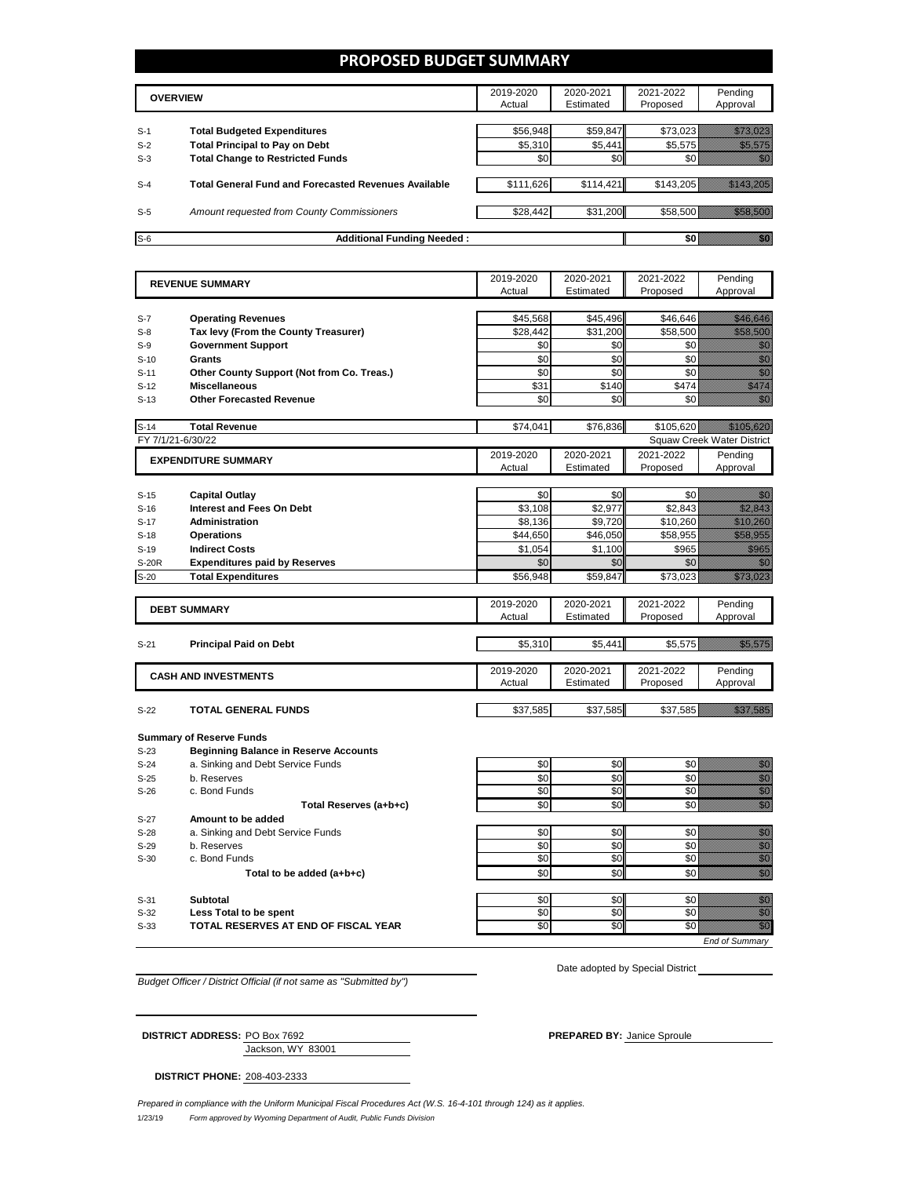### **PROPOSED BUDGET SUMMARY**

|       | <b>OVERVIEW</b>                                             | 2019-2020<br>Actual | 2020-2021<br>Estimated | 2021-2022<br>Proposed | Pending<br>Approval |
|-------|-------------------------------------------------------------|---------------------|------------------------|-----------------------|---------------------|
| $S-1$ | <b>Total Budgeted Expenditures</b>                          | \$56,948            | \$59,847               | \$73.023              |                     |
| $S-2$ | <b>Total Principal to Pay on Debt</b>                       | \$5,310             | \$5,441                | \$5,575               |                     |
| $S-3$ | <b>Total Change to Restricted Funds</b>                     | \$0                 | \$0                    |                       |                     |
|       |                                                             |                     |                        |                       |                     |
| $S-4$ | <b>Total General Fund and Forecasted Revenues Available</b> | \$111,626           | \$114,421              | \$143,205             |                     |
| $S-5$ | Amount requested from County Commissioners                  | \$28,442            | \$31,200               | \$58.500              |                     |
| $S-6$ | <b>Additional Funding Needed:</b>                           |                     |                        |                       |                     |

| <b>REVENUE SUMMARY</b> |                                                        | 2019-2020 | 2020-2021              | 2021-2022       | Pending                                                                                                                                                                                                                          |  |  |
|------------------------|--------------------------------------------------------|-----------|------------------------|-----------------|----------------------------------------------------------------------------------------------------------------------------------------------------------------------------------------------------------------------------------|--|--|
|                        |                                                        | Actual    | Estimated              | Proposed        | Approval                                                                                                                                                                                                                         |  |  |
| $S-7$                  | <b>Operating Revenues</b>                              | \$45,568  | \$45,496               | \$46,646        | a katika katika katika katika katika katika katika katika katika katika katika katika katika katika katika kat<br>Katika katika katika katika katika katika katika katika katika katika katika katika katika katika katika katik |  |  |
| $S-8$                  | Tax levy (From the County Treasurer)                   | \$28.442  | \$31,200               | \$58,500        | <u> Hillings</u>                                                                                                                                                                                                                 |  |  |
| $S-9$                  | <b>Government Support</b>                              | \$0       | \$0                    | \$0             | en de la familie de la familie de la familie de la familie de la familie de la familie de la familie de la fam<br>Espainia                                                                                                       |  |  |
| $S-10$                 | <b>Grants</b>                                          | \$0       | \$0                    | \$0             | en de la familie de la familie de la familie de la familie de la familie de la familie de la familie de la fam<br>Constituit de la familie de la familie de la familie de la familie de la familie de la familie de la familie d |  |  |
| $S-11$                 | Other County Support (Not from Co. Treas.)             | \$0       | \$0                    | \$0             | en de la familie de la familie de la familie de la familie de la familie de la familie de la familie de la fam<br>Estats de la familie de la familie de la familie de la familie de la familie de la familie de la familie de la |  |  |
| $S-12$                 | <b>Miscellaneous</b>                                   | \$31      | \$140                  | \$474           | an dhe                                                                                                                                                                                                                           |  |  |
| $S-13$                 | <b>Other Forecasted Revenue</b>                        | \$0       | \$0                    | \$0             | ni dhe                                                                                                                                                                                                                           |  |  |
|                        |                                                        |           |                        |                 |                                                                                                                                                                                                                                  |  |  |
| $S-14$                 | <b>Total Revenue</b>                                   | \$74.041  | \$76.836               | \$105.620       | <u> Mille Standard Standard Standard Standard Standard Standard Standard Standard Standard Standard Standard Stan</u>                                                                                                            |  |  |
|                        | FY 7/1/21-6/30/22<br><b>Squaw Creek Water District</b> |           |                        |                 |                                                                                                                                                                                                                                  |  |  |
|                        | <b>EXPENDITURE SUMMARY</b>                             |           | 2020-2021              | 2021-2022       | Pending                                                                                                                                                                                                                          |  |  |
|                        |                                                        | Actual    | Estimated              | Proposed        | Approval                                                                                                                                                                                                                         |  |  |
| $S-15$                 | <b>Capital Outlay</b>                                  | \$0       | \$0                    | \$0             | 1999                                                                                                                                                                                                                             |  |  |
| $S-16$                 | <b>Interest and Fees On Debt</b>                       | \$3,108   | \$2,977                | \$2,843         | e de la componentación de la componentación de la componentación de la componentación de la componentación de<br>En la componentación de la componentación de la componentación de la componentación de la componentación de la  |  |  |
| $S-17$                 | <b>Administration</b>                                  | \$8.136   | \$9.720                | \$10,260        | <u>elitik k</u>                                                                                                                                                                                                                  |  |  |
|                        | <b>Operations</b>                                      | \$44,650  | \$46,050               | \$58,955        | <b>Harriotta</b>                                                                                                                                                                                                                 |  |  |
| $S-18$<br>$S-19$       | <b>Indirect Costs</b>                                  | \$1,054   | \$1,100                | \$965           | <u>till fra</u>                                                                                                                                                                                                                  |  |  |
| <b>S-20R</b>           | <b>Expenditures paid by Reserves</b>                   | \$0       | \$0                    | \$0             | nisia.<br>Manazarta                                                                                                                                                                                                              |  |  |
|                        |                                                        |           |                        |                 |                                                                                                                                                                                                                                  |  |  |
| $S-20$                 | <b>Total Expenditures</b>                              | \$56,948  | \$59,847               | \$73,023        | <u>millige fra</u>                                                                                                                                                                                                               |  |  |
|                        |                                                        | 2019-2020 | 2020-2021              | 2021-2022       | Pending                                                                                                                                                                                                                          |  |  |
|                        | <b>DEBT SUMMARY</b>                                    | Actual    | Estimated              | Proposed        | Approval                                                                                                                                                                                                                         |  |  |
|                        |                                                        |           |                        |                 |                                                                                                                                                                                                                                  |  |  |
| $S-21$                 | <b>Principal Paid on Debt</b>                          | \$5,310   | \$5,441                | \$5,575         | <u>mana</u>                                                                                                                                                                                                                      |  |  |
|                        |                                                        | 2019-2020 |                        | 2021-2022       |                                                                                                                                                                                                                                  |  |  |
|                        | <b>CASH AND INVESTMENTS</b>                            | Actual    | 2020-2021<br>Estimated | Proposed        | Pending<br>Approval                                                                                                                                                                                                              |  |  |
|                        |                                                        |           |                        |                 |                                                                                                                                                                                                                                  |  |  |
| $S-22$                 | <b>TOTAL GENERAL FUNDS</b>                             | \$37,585  | \$37,585               | \$37,585        | <u> Kalendari Se</u>                                                                                                                                                                                                             |  |  |
|                        |                                                        |           |                        |                 |                                                                                                                                                                                                                                  |  |  |
|                        | <b>Summary of Reserve Funds</b>                        |           |                        |                 |                                                                                                                                                                                                                                  |  |  |
| $S-23$                 | <b>Beginning Balance in Reserve Accounts</b>           |           |                        |                 |                                                                                                                                                                                                                                  |  |  |
| $S-24$                 | a. Sinking and Debt Service Funds                      | \$0       | \$0                    | \$0             | an dhe                                                                                                                                                                                                                           |  |  |
| $S-25$                 | b. Reserves                                            | \$0       | \$0                    | \$0             | e de la composición de la composición de la composición de la composición de la composición de la composición<br>Campo de la composición de la composición de la composición de la composición de la composición de la composic  |  |  |
| $S-26$                 | c. Bond Funds                                          | \$0       | \$0                    | \$0             |                                                                                                                                                                                                                                  |  |  |
|                        | Total Reserves (a+b+c)                                 | \$0       | \$0                    | \$0             | en de la familie de la familie de la familie de la familie de la familie de la familie de la familie de la fa<br>Constitution de la familie de la familie de la familie de la familie de la familie de la familie de la familie  |  |  |
| $S-27$                 | Amount to be added                                     |           |                        |                 |                                                                                                                                                                                                                                  |  |  |
| $S-28$                 | a. Sinking and Debt Service Funds                      | \$0       | \$0                    | \$0             | enne<br>Gallia                                                                                                                                                                                                                   |  |  |
| $S-29$                 | b. Reserves                                            | \$0       | \$0                    | \$0             | en de la familie de la familie de la familie de la familie de la familie de la familie de la familie de la fam<br>Constitution de la familie de la familie de la familie de la familie de la familie de la familie de la familie |  |  |
| $S-30$                 | c. Bond Funds                                          | \$0       | \$0                    | \$0             | anna<br>Màrtai                                                                                                                                                                                                                   |  |  |
|                        | Total to be added (a+b+c)                              | \$0       | \$0                    | \$0             | en de la filosofia<br>Altres de la filòlogía                                                                                                                                                                                     |  |  |
| $S-31$                 | <b>Subtotal</b>                                        | \$0       | \$0                    | \$0             |                                                                                                                                                                                                                                  |  |  |
| $S-32$                 | Less Total to be spent                                 | \$0       | \$0                    | \$0             | e de la construcción de la construcción de la construcción de la construcción de la construcción de la constru                                                                                                                   |  |  |
| $S-33$                 | TOTAL RESERVES AT END OF FISCAL YEAR                   | \$0       | \$0                    | $\overline{50}$ | en de la falsa de la falsa de la falsa de la falsa de la falsa de la falsa de la falsa de la falsa de la falsa<br>El falsa de la falsa de la falsa de la falsa de la falsa de la falsa de la falsa de la falsa de la falsa de la |  |  |
|                        |                                                        |           |                        |                 |                                                                                                                                                                                                                                  |  |  |
|                        |                                                        |           |                        |                 | <b>End of Summary</b>                                                                                                                                                                                                            |  |  |

*Budget Officer / District Official (if not same as "Submitted by")*

Date adopted by Special District \_\_\_\_\_

| <b>DISTRICT ADDRESS: PO Box 7692</b> | <b>PREPARED BY: Janice Sproule</b> |
|--------------------------------------|------------------------------------|
| Jackson, WY 83001                    |                                    |

**DISTRICT PHONE:** 208-403-2333

п

1/23/19 *Form approved by Wyoming Department of Audit, Public Funds Division Prepared in compliance with the Uniform Municipal Fiscal Procedures Act (W.S. 16-4-101 through 124) as it applies.*

 $\mathbb{R}^n$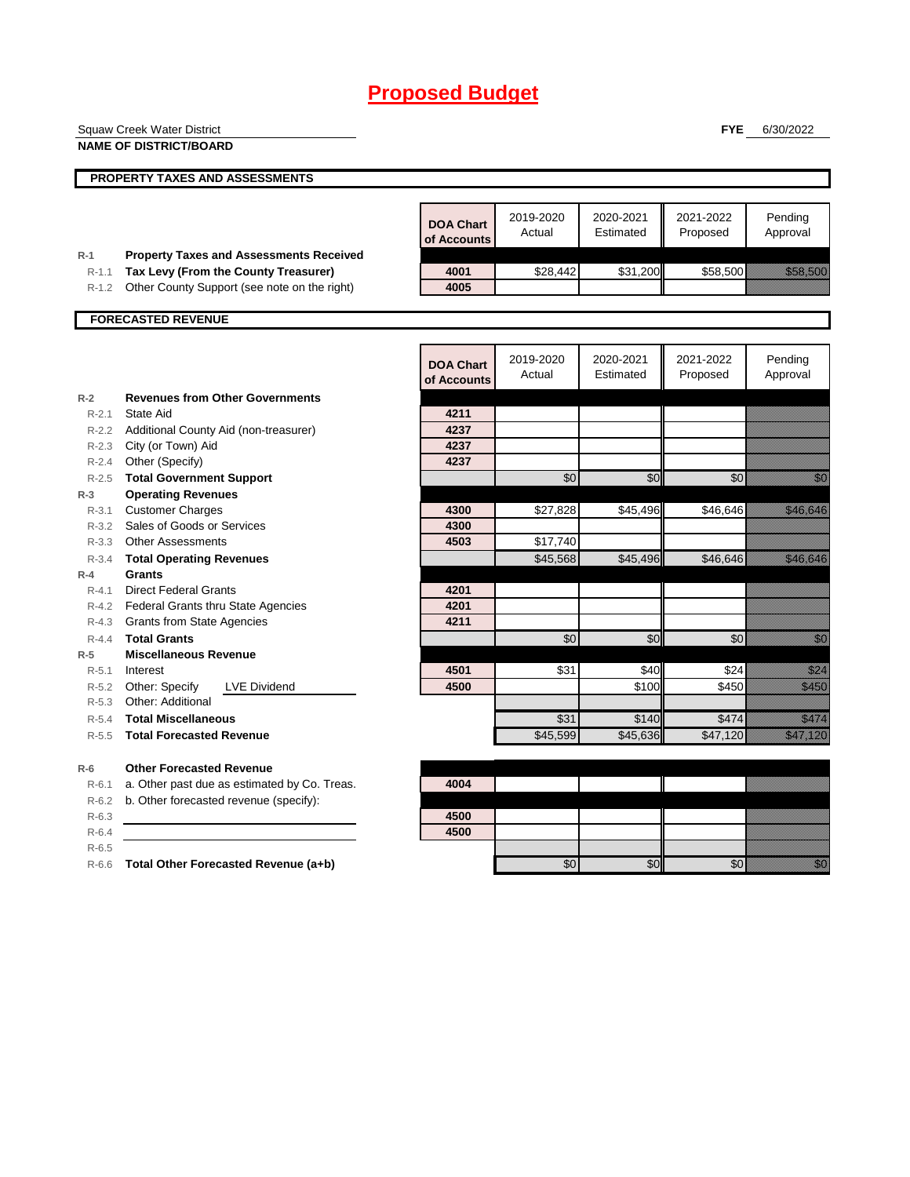| <b>Squaw Creek Water District</b><br><b>FYE</b> |                                                                                        |                                 | 6/30/2022           |                        |                       |                                                                                                                                                                                                                                  |
|-------------------------------------------------|----------------------------------------------------------------------------------------|---------------------------------|---------------------|------------------------|-----------------------|----------------------------------------------------------------------------------------------------------------------------------------------------------------------------------------------------------------------------------|
|                                                 | <b>NAME OF DISTRICT/BOARD</b>                                                          |                                 |                     |                        |                       |                                                                                                                                                                                                                                  |
|                                                 | PROPERTY TAXES AND ASSESSMENTS                                                         |                                 |                     |                        |                       |                                                                                                                                                                                                                                  |
|                                                 |                                                                                        |                                 |                     |                        |                       |                                                                                                                                                                                                                                  |
|                                                 |                                                                                        | <b>DOA Chart</b><br>of Accounts | 2019-2020<br>Actual | 2020-2021<br>Estimated | 2021-2022<br>Proposed | Pending<br>Approval                                                                                                                                                                                                              |
| $R-1$<br>$R-1.1$                                | <b>Property Taxes and Assessments Received</b><br>Tax Levy (From the County Treasurer) | 4001                            | \$28,442            | \$31,200               | \$58,500              | <u> Karl Tarak</u>                                                                                                                                                                                                               |
| $R-1.2$                                         | Other County Support (see note on the right)                                           | 4005                            |                     |                        |                       |                                                                                                                                                                                                                                  |
|                                                 |                                                                                        |                                 |                     |                        |                       |                                                                                                                                                                                                                                  |
|                                                 | <b>FORECASTED REVENUE</b>                                                              |                                 |                     |                        |                       |                                                                                                                                                                                                                                  |
|                                                 |                                                                                        |                                 |                     |                        |                       |                                                                                                                                                                                                                                  |
|                                                 |                                                                                        | <b>DOA Chart</b><br>of Accounts | 2019-2020<br>Actual | 2020-2021<br>Estimated | 2021-2022<br>Proposed | Pending<br>Approval                                                                                                                                                                                                              |
| $R-2$                                           | <b>Revenues from Other Governments</b>                                                 |                                 |                     |                        |                       |                                                                                                                                                                                                                                  |
| $R - 2.1$                                       | State Aid                                                                              | 4211                            |                     |                        |                       |                                                                                                                                                                                                                                  |
| $R - 2.3$                                       | R-2.2 Additional County Aid (non-treasurer)<br>City (or Town) Aid                      | 4237<br>4237                    |                     |                        |                       |                                                                                                                                                                                                                                  |
| R-2.4                                           | Other (Specify)                                                                        | 4237                            |                     |                        |                       |                                                                                                                                                                                                                                  |
| $R - 2.5$                                       | <b>Total Government Support</b>                                                        |                                 | \$0                 | \$0                    | \$0                   | en de la falsa de la falsa de la falsa de la falsa de la falsa de la falsa de la falsa de la falsa de la falsa<br>Falsa de la falsa de la falsa de la falsa de la falsa de la falsa de la falsa de la falsa de la falsa de la fa |
| $R-3$                                           | <b>Operating Revenues</b>                                                              |                                 |                     |                        |                       |                                                                                                                                                                                                                                  |
| $R-3.1$                                         | <b>Customer Charges</b>                                                                | 4300                            | \$27,828            | \$45,496               | \$46,646              | <u> Elizabeth Carl</u>                                                                                                                                                                                                           |
|                                                 | R-3.2 Sales of Goods or Services                                                       | 4300                            |                     |                        |                       |                                                                                                                                                                                                                                  |
| $R - 3.3$                                       | <b>Other Assessments</b>                                                               | 4503                            | \$17,740            |                        |                       |                                                                                                                                                                                                                                  |
| $R - 3.4$                                       | <b>Total Operating Revenues</b>                                                        |                                 | \$45,568            | \$45,496               | \$46,646              | <u> Karl Charles Cha</u>                                                                                                                                                                                                         |
| $R-4$                                           | <b>Grants</b>                                                                          |                                 |                     |                        |                       |                                                                                                                                                                                                                                  |
| $R - 4.1$                                       | <b>Direct Federal Grants</b>                                                           | 4201                            |                     |                        |                       |                                                                                                                                                                                                                                  |
| $R - 4.3$                                       | R-4.2 Federal Grants thru State Agencies<br><b>Grants from State Agencies</b>          | 4201<br>4211                    |                     |                        |                       |                                                                                                                                                                                                                                  |
| $R - 4.4$                                       | <b>Total Grants</b>                                                                    |                                 | \$0                 | \$0                    | \$0                   | <u>i Sar</u>                                                                                                                                                                                                                     |
| $R-5$                                           | <b>Miscellaneous Revenue</b>                                                           |                                 |                     |                        |                       |                                                                                                                                                                                                                                  |
| $R - 5.1$                                       | Interest                                                                               | 4501                            | \$31                | \$40                   | \$24                  | <u>tik k</u>                                                                                                                                                                                                                     |
| R-5.2                                           | Other: Specify<br><b>LVE Dividend</b>                                                  | 4500                            |                     | \$100                  | \$450                 | <u>estas el c</u>                                                                                                                                                                                                                |
| $R - 5.3$                                       | Other: Additional                                                                      |                                 |                     |                        |                       |                                                                                                                                                                                                                                  |
| R-5.4                                           | <b>Total Miscellaneous</b>                                                             |                                 | \$31                | \$140                  | \$474                 | <u>elli selle</u>                                                                                                                                                                                                                |
| $R-5.5$                                         | <b>Total Forecasted Revenue</b>                                                        |                                 | \$45,599            | \$45,636               | \$47,120              | <u>elittiin ta</u>                                                                                                                                                                                                               |
| $R-6$                                           | <b>Other Forecasted Revenue</b>                                                        |                                 |                     |                        |                       |                                                                                                                                                                                                                                  |
| $R-6.1$                                         | a. Other past due as estimated by Co. Treas.                                           | 4004                            |                     |                        |                       |                                                                                                                                                                                                                                  |
| $R-6.2$                                         | b. Other forecasted revenue (specify):                                                 |                                 |                     |                        |                       |                                                                                                                                                                                                                                  |
| $R-6.3$                                         |                                                                                        | 4500                            |                     |                        |                       |                                                                                                                                                                                                                                  |
| $R-6.4$                                         |                                                                                        | 4500                            |                     |                        |                       |                                                                                                                                                                                                                                  |
| $R-6.5$                                         |                                                                                        |                                 |                     |                        |                       |                                                                                                                                                                                                                                  |
| R-6.6                                           | Total Other Forecasted Revenue (a+b)                                                   |                                 | \$0                 | \$0                    | \$0                   | an dhe                                                                                                                                                                                                                           |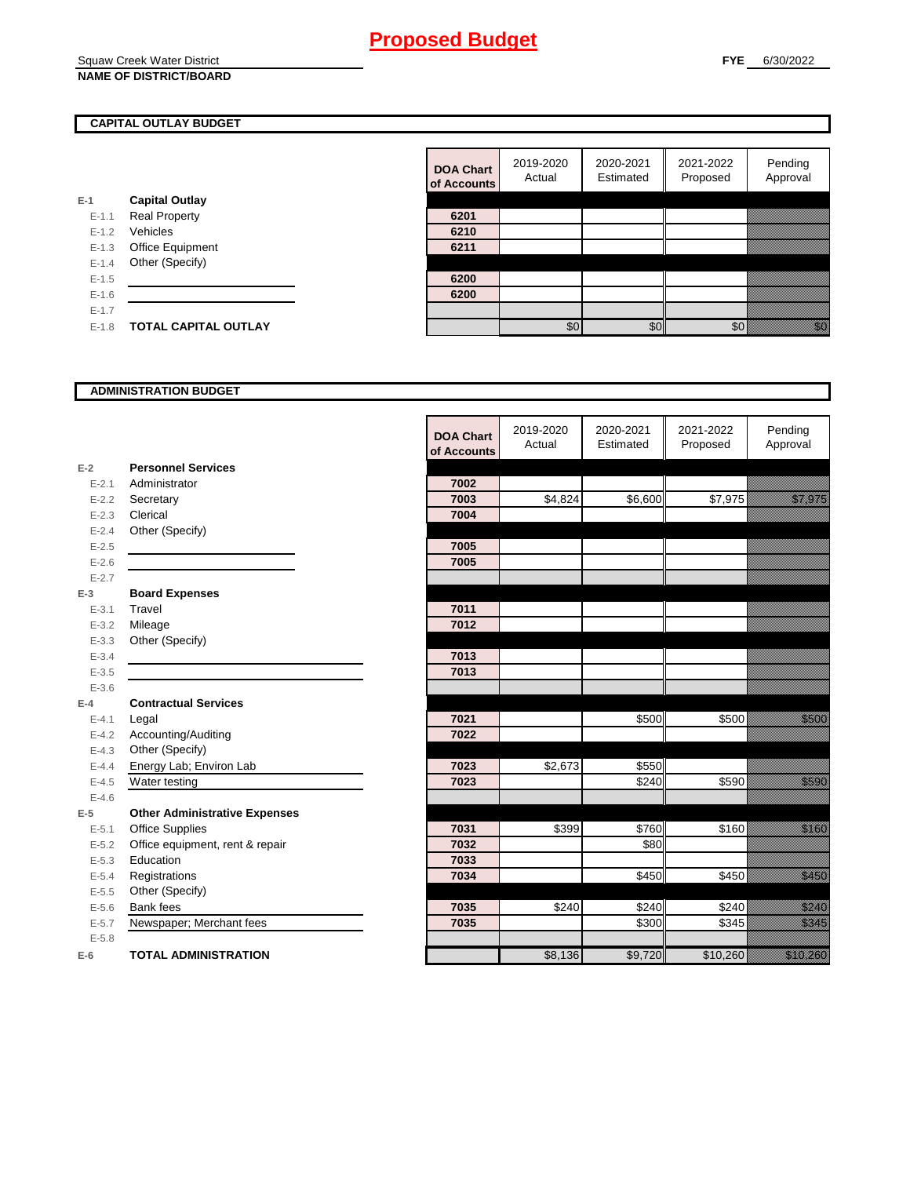Squaw Creek Water District **NAME OF DISTRICT/BOARD**

## **CAPITAL OUTLAY BUDGET**

|           |                       | <u>UI AUUU</u> |
|-----------|-----------------------|----------------|
| E-1       | <b>Capital Outlay</b> |                |
| $E - 1.1$ | <b>Real Property</b>  | 6201           |
| $E - 1.2$ | Vehicles              | 6210           |
| $E-1.3$   | Office Equipment      | 6211           |
| $E - 1.4$ | Other (Specify)       |                |
| $E - 1.5$ |                       | 6200           |
| $E - 1.6$ |                       | 6200           |
| $E-1.7$   |                       |                |
| $E-1.8$   | TOTAL CAPITAL OUTLAY  |                |
|           |                       |                |

| <b>DOA Chart</b><br>of Accounts | 2019-2020<br>Actual | 2020-2021<br>Estimated | 2021-2022<br>Proposed | Pending<br>Approval |
|---------------------------------|---------------------|------------------------|-----------------------|---------------------|
|                                 |                     |                        |                       |                     |
| 6201                            |                     |                        |                       |                     |
| 6210                            |                     |                        |                       |                     |
| 6211                            |                     |                        |                       |                     |
|                                 |                     |                        |                       |                     |
| 6200                            |                     |                        |                       |                     |
| 6200                            |                     |                        |                       |                     |
|                                 |                     |                        |                       |                     |
|                                 | ፍሰ                  |                        |                       |                     |

#### **ADMINISTRATION BUDGET**

|           |                                      | <b>DOA Chart</b><br>of Accounts | 2019-2020<br>Actual | 2020-2021<br>Estimated | 2021-2022<br>Proposed | Pending<br>Approval        |
|-----------|--------------------------------------|---------------------------------|---------------------|------------------------|-----------------------|----------------------------|
| $E-2$     | <b>Personnel Services</b>            |                                 |                     |                        |                       |                            |
| $E - 2.1$ | Administrator                        | 7002                            |                     |                        |                       |                            |
| $E - 2.2$ | Secretary                            | 7003                            | \$4,824             | \$6,600                | \$7,975               | <u>film yn y s</u>         |
| $E - 2.3$ | Clerical                             | 7004                            |                     |                        |                       |                            |
| $E - 2.4$ | Other (Specify)                      |                                 |                     |                        |                       |                            |
| $E-2.5$   |                                      | 7005                            |                     |                        |                       |                            |
| $E - 2.6$ |                                      | 7005                            |                     |                        |                       |                            |
| $E - 2.7$ |                                      |                                 |                     |                        |                       |                            |
| $E-3$     | <b>Board Expenses</b>                |                                 |                     |                        |                       |                            |
| $E - 3.1$ | Travel                               | 7011                            |                     |                        |                       |                            |
| $E - 3.2$ | Mileage                              | 7012                            |                     |                        |                       |                            |
| $E - 3.3$ | Other (Specify)                      |                                 |                     |                        |                       |                            |
| $E - 3.4$ |                                      | 7013                            |                     |                        |                       |                            |
| $E - 3.5$ |                                      | 7013                            |                     |                        |                       |                            |
| $E - 3.6$ |                                      |                                 |                     |                        |                       |                            |
| $E-4$     | <b>Contractual Services</b>          |                                 |                     |                        |                       |                            |
| $E - 4.1$ | Legal                                | 7021                            |                     | \$500                  | \$500                 | <u>ti ka</u>               |
| $E-4.2$   | Accounting/Auditing                  | 7022                            |                     |                        |                       |                            |
| $E - 4.3$ | Other (Specify)                      |                                 |                     |                        |                       |                            |
| $E-4.4$   | Energy Lab; Environ Lab              | 7023                            | \$2,673             | \$550                  |                       |                            |
| $E-4.5$   | Water testing                        | 7023                            |                     | \$240                  | \$590                 | <u>tik ku</u>              |
| $E-4.6$   |                                      |                                 |                     |                        |                       |                            |
| $E-5$     | <b>Other Administrative Expenses</b> |                                 |                     |                        |                       |                            |
| $E - 5.1$ | <b>Office Supplies</b>               | 7031                            | \$399               | \$760                  | \$160                 | <u>ti ka</u>               |
| $E - 5.2$ | Office equipment, rent & repair      | 7032                            |                     | \$80                   |                       |                            |
| $E - 5.3$ | Education                            | 7033                            |                     |                        |                       |                            |
| $E - 5.4$ | Registrations                        | 7034                            |                     | \$450                  | \$450                 | <u>ti ka</u>               |
| $E - 5.5$ | Other (Specify)                      |                                 |                     |                        |                       |                            |
| $E-5.6$   | Bank fees                            | 7035                            | \$240               | \$240                  | \$240                 | <u>till fra</u>            |
| $E - 5.7$ | Newspaper; Merchant fees             | 7035                            |                     | \$300                  | \$345                 | <u>tik ka</u>              |
| $E - 5.8$ |                                      |                                 |                     |                        |                       |                            |
| $E-6$     | <b>TOTAL ADMINISTRATION</b>          |                                 | \$8,136             | \$9,720                | \$10,260              | <u>i karatifan yang di</u> |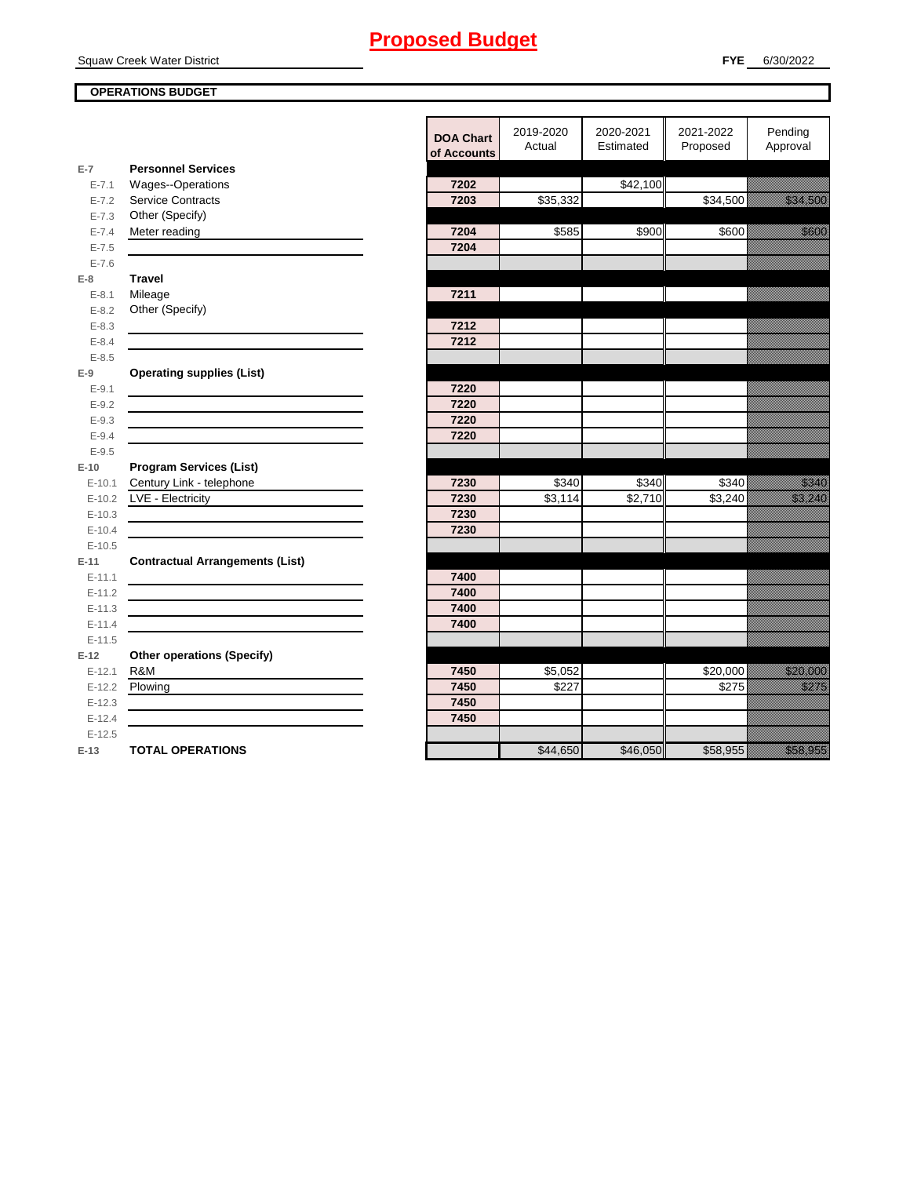Squaw Creek Water District

## **OPERATIONS BUDGET**

|                        |                                        | <b>DOA Chart</b><br>of Accounts | 2019-2020<br>Actual | 2020-2021<br>Estimated | 2021-2022<br>Proposed | Pending<br>Approval     |
|------------------------|----------------------------------------|---------------------------------|---------------------|------------------------|-----------------------|-------------------------|
| $E-7$                  | <b>Personnel Services</b>              |                                 |                     |                        |                       |                         |
| $E - 7.1$              | Wages--Operations                      | 7202                            |                     | \$42,100               |                       |                         |
| $E - 7.2$              | <b>Service Contracts</b>               | 7203                            | \$35,332            |                        | \$34,500              | <u> Historiano de C</u> |
| $E - 7.3$              | Other (Specify)                        |                                 |                     |                        |                       |                         |
| $E - 7.4$              | Meter reading                          | 7204                            | \$585               | \$900                  | \$600                 | a katika ka             |
| $E - 7.5$              |                                        | 7204                            |                     |                        |                       |                         |
| $E - 7.6$              |                                        |                                 |                     |                        |                       |                         |
| $E-8$                  | <b>Travel</b>                          |                                 |                     |                        |                       |                         |
| $E - 8.1$              | Mileage                                | 7211                            |                     |                        |                       |                         |
| $E - 8.2$              | Other (Specify)                        |                                 |                     |                        |                       |                         |
| $E - 8.3$              |                                        | 7212                            |                     |                        |                       |                         |
| $E - 8.4$              |                                        | 7212                            |                     |                        |                       |                         |
| $E - 8.5$              |                                        |                                 |                     |                        |                       |                         |
| $E-9$                  | <b>Operating supplies (List)</b>       |                                 |                     |                        |                       |                         |
| $E - 9.1$              |                                        | 7220                            |                     |                        |                       |                         |
| $E - 9.2$              |                                        | 7220<br>7220                    |                     |                        |                       |                         |
| $E - 9.3$<br>$E - 9.4$ |                                        | 7220                            |                     |                        |                       |                         |
| $E - 9.5$              |                                        |                                 |                     |                        |                       |                         |
| $E-10$                 | <b>Program Services (List)</b>         |                                 |                     |                        |                       |                         |
| $E-10.1$               | Century Link - telephone               | 7230                            | \$340               | \$340                  | \$340                 | <u>Mille S</u>          |
| $E-10.2$               | LVE - Electricity                      | 7230                            | \$3,114             | $\overline{$}2,710$    | \$3,240               | <u> Kalendari Sepa</u>  |
| $E-10.3$               |                                        | 7230                            |                     |                        |                       |                         |
| $E-10.4$               |                                        | 7230                            |                     |                        |                       |                         |
| $E-10.5$               |                                        |                                 |                     |                        |                       |                         |
| $E-11$                 | <b>Contractual Arrangements (List)</b> |                                 |                     |                        |                       |                         |
| $E-11.1$               |                                        | 7400                            |                     |                        |                       |                         |
| $E-11.2$               |                                        | 7400                            |                     |                        |                       |                         |
| $E-11.3$               |                                        | 7400                            |                     |                        |                       |                         |
| $E - 11.4$             |                                        | 7400                            |                     |                        |                       |                         |
| $E-11.5$               |                                        |                                 |                     |                        |                       |                         |
| $E-12$                 | <b>Other operations (Specify)</b>      |                                 |                     |                        |                       |                         |
| $E-12.1$               | R&M                                    | 7450                            | \$5,052             |                        | \$20,000              | <u> Mariji (</u>        |
|                        | E-12.2 Plowing                         | 7450                            | \$227               |                        | \$275                 | <u>tillitä</u>          |
| $E-12.3$               |                                        | 7450                            |                     |                        |                       |                         |
| $E-12.4$               |                                        | 7450                            |                     |                        |                       |                         |
| $E-12.5$               |                                        |                                 |                     |                        |                       |                         |
| $E-13$                 | <b>TOTAL OPERATIONS</b>                |                                 | \$44,650            | \$46,050               | \$58,955              | a a an an t-Òirean      |
|                        |                                        |                                 |                     |                        |                       |                         |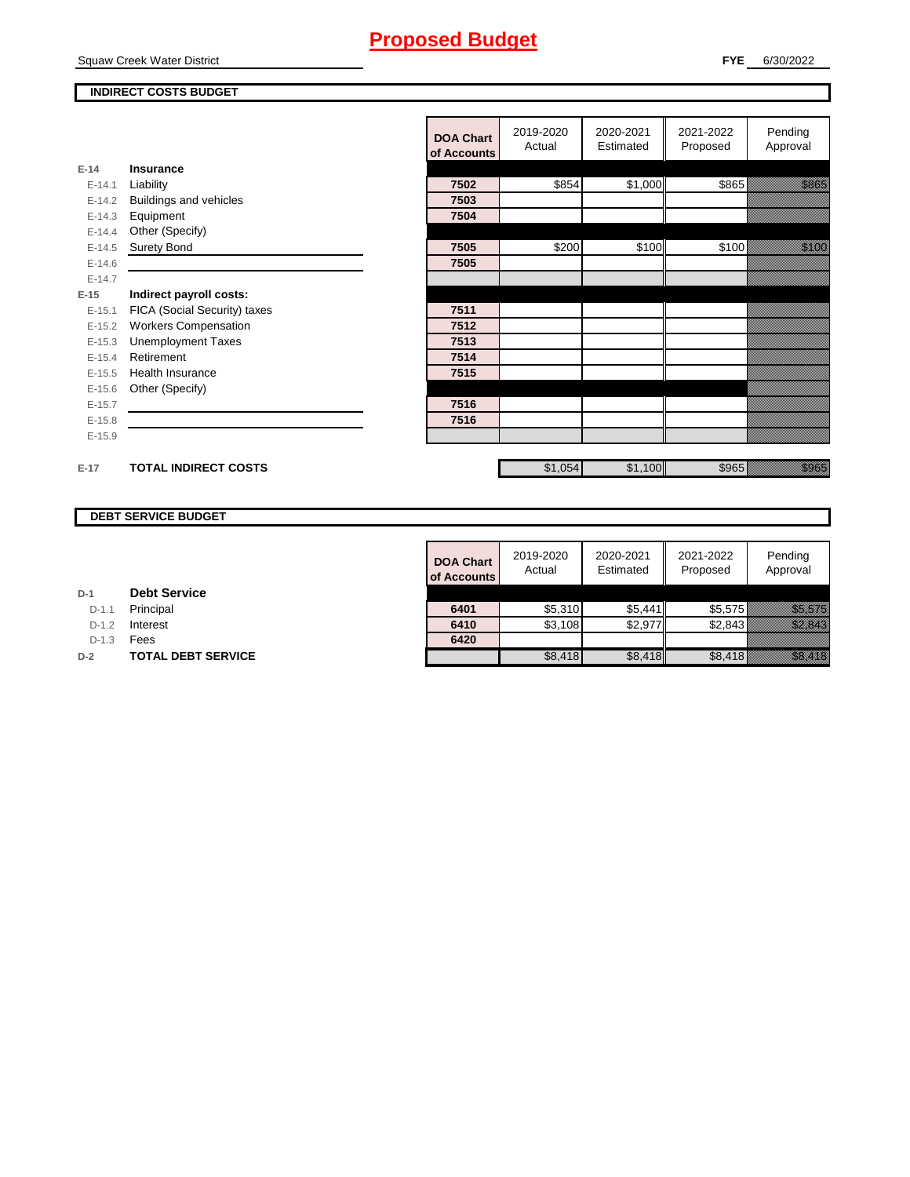Squaw Creek Water District

## **INDIRECT COSTS BUDGET**

|          |                               | <b>DOA Chart</b><br>of Accounts | 2019-2020<br>Actual | 2020-2021<br>Estimated | 2021-2022<br>Proposed | Pending<br>Approval |
|----------|-------------------------------|---------------------------------|---------------------|------------------------|-----------------------|---------------------|
| $E-14$   | Insurance                     |                                 |                     |                        |                       |                     |
| $E-14.1$ | Liability                     | 7502                            | \$854               | \$1,000                | \$865                 | <u>tional</u>       |
| $E-14.2$ | <b>Buildings and vehicles</b> | 7503                            |                     |                        |                       |                     |
| $E-14.3$ | Equipment                     | 7504                            |                     |                        |                       |                     |
| $E-14.4$ | Other (Specify)               |                                 |                     |                        |                       |                     |
| $E-14.5$ | <b>Surety Bond</b>            | 7505                            | \$200               | \$100                  | \$100                 | <u> Karlin Sara</u> |
| $E-14.6$ |                               | 7505                            |                     |                        |                       |                     |
| $E-14.7$ |                               |                                 |                     |                        |                       |                     |
| $E-15$   | Indirect payroll costs:       |                                 |                     |                        |                       |                     |
| $E-15.1$ | FICA (Social Security) taxes  | 7511                            |                     |                        |                       |                     |
| $E-15.2$ | <b>Workers Compensation</b>   | 7512                            |                     |                        |                       |                     |
| $E-15.3$ | <b>Unemployment Taxes</b>     | 7513                            |                     |                        |                       |                     |
| $E-15.4$ | Retirement                    | 7514                            |                     |                        |                       |                     |
| $E-15.5$ | Health Insurance              | 7515                            |                     |                        |                       |                     |
| $E-15.6$ | Other (Specify)               |                                 |                     |                        |                       |                     |
| $E-15.7$ |                               | 7516                            |                     |                        |                       |                     |
| $E-15.8$ |                               | 7516                            |                     |                        |                       |                     |
| $E-15.9$ |                               |                                 |                     |                        |                       |                     |
| $E-17$   | <b>TOTAL INDIRECT COSTS</b>   |                                 | \$1,054             | \$1,100                | \$965                 | a a a an t-òrdan    |

## **DEBT SERVICE BUDGET**

| <b>DOA Chart</b><br>of Accounts | 2019-2020<br>Actual | 2020-2021<br>Estimated | 2021-2022<br>Proposed | Pending<br>Approval |
|---------------------------------|---------------------|------------------------|-----------------------|---------------------|
|                                 |                     |                        |                       |                     |
| 6401                            | \$5,310             | \$5,441                | \$5,575               |                     |
| 6410                            | \$3,108             | \$2,977                | \$2,843               |                     |
| 6420                            |                     |                        |                       |                     |
|                                 | \$8,418             | \$8.418                | \$8.418               |                     |

**D-1.1 Principal** 

**D-1.2 Interest** 

D-1.3 **Fees** 

**D-2 TOTAL DEBT SERVICE**